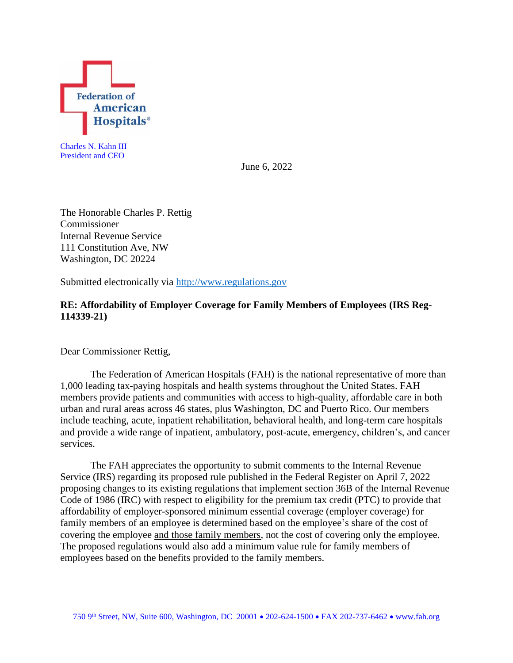

Charles N. Kahn III President and CEO

June 6, 2022

The Honorable Charles P. Rettig Commissioner Internal Revenue Service 111 Constitution Ave, NW Washington, DC 20224

Submitted electronically via [http://www.regulations.gov](http://www.regulations.gov/)

## **RE: Affordability of Employer Coverage for Family Members of Employees (IRS Reg-114339-21)**

Dear Commissioner Rettig,

The Federation of American Hospitals (FAH) is the national representative of more than 1,000 leading tax-paying hospitals and health systems throughout the United States. FAH members provide patients and communities with access to high-quality, affordable care in both urban and rural areas across 46 states, plus Washington, DC and Puerto Rico. Our members include teaching, acute, inpatient rehabilitation, behavioral health, and long-term care hospitals and provide a wide range of inpatient, ambulatory, post-acute, emergency, children's, and cancer services.

The FAH appreciates the opportunity to submit comments to the Internal Revenue Service (IRS) regarding its proposed rule published in the Federal Register on April 7, 2022 proposing changes to its existing regulations that implement section 36B of the Internal Revenue Code of 1986 (IRC) with respect to eligibility for the premium tax credit (PTC) to provide that affordability of employer-sponsored minimum essential coverage (employer coverage) for family members of an employee is determined based on the employee's share of the cost of covering the employee and those family members, not the cost of covering only the employee. The proposed regulations would also add a minimum value rule for family members of employees based on the benefits provided to the family members.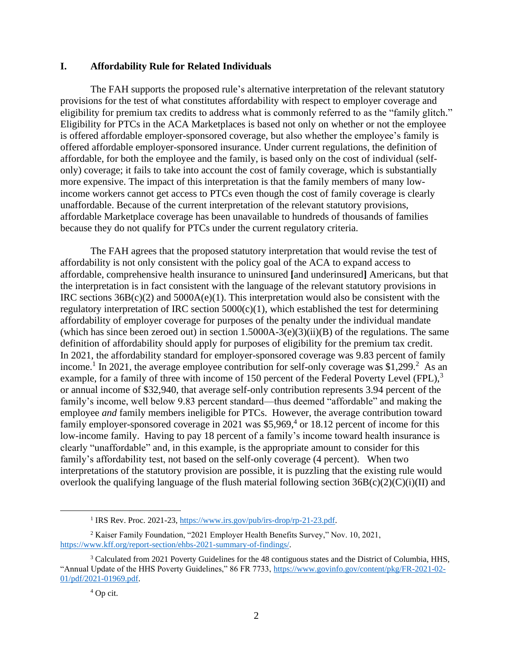## **I. Affordability Rule for Related Individuals**

The FAH supports the proposed rule's alternative interpretation of the relevant statutory provisions for the test of what constitutes affordability with respect to employer coverage and eligibility for premium tax credits to address what is commonly referred to as the "family glitch." Eligibility for PTCs in the ACA Marketplaces is based not only on whether or not the employee is offered affordable employer-sponsored coverage, but also whether the employee's family is offered affordable employer-sponsored insurance. Under current regulations, the definition of affordable, for both the employee and the family, is based only on the cost of individual (selfonly) coverage; it fails to take into account the cost of family coverage, which is substantially more expensive. The impact of this interpretation is that the family members of many lowincome workers cannot get access to PTCs even though the cost of family coverage is clearly unaffordable. Because of the current interpretation of the relevant statutory provisions, affordable Marketplace coverage has been unavailable to hundreds of thousands of families because they do not qualify for PTCs under the current regulatory criteria.

The FAH agrees that the proposed statutory interpretation that would revise the test of affordability is not only consistent with the policy goal of the ACA to expand access to affordable, comprehensive health insurance to uninsured **[**and underinsured**]** Americans, but that the interpretation is in fact consistent with the language of the relevant statutory provisions in IRC sections  $36B(c)(2)$  and  $5000A(e)(1)$ . This interpretation would also be consistent with the regulatory interpretation of IRC section  $5000(c)(1)$ , which established the test for determining affordability of employer coverage for purposes of the penalty under the individual mandate (which has since been zeroed out) in section  $1.5000A-3(e)(3)(ii)(B)$  of the regulations. The same definition of affordability should apply for purposes of eligibility for the premium tax credit. In 2021, the affordability standard for employer-sponsored coverage was 9.83 percent of family income.<sup>1</sup> In 2021, the average employee contribution for self-only coverage was \$1,299.<sup>2</sup> As an example, for a family of three with income of 150 percent of the Federal Poverty Level (FPL).<sup>3</sup> or annual income of \$32,940, that average self-only contribution represents 3.94 percent of the family's income, well below 9.83 percent standard—thus deemed "affordable" and making the employee *and* family members ineligible for PTCs. However, the average contribution toward family employer-sponsored coverage in 2021 was  $$5,969<sup>4</sup>$  or 18.12 percent of income for this low-income family. Having to pay 18 percent of a family's income toward health insurance is clearly "unaffordable" and, in this example, is the appropriate amount to consider for this family's affordability test, not based on the self-only coverage (4 percent). When two interpretations of the statutory provision are possible, it is puzzling that the existing rule would overlook the qualifying language of the flush material following section  $36B(c)(2)(C)(i)(II)$  and

<sup>&</sup>lt;sup>1</sup> IRS Rev. Proc. 2021-23[, https://www.irs.gov/pub/irs-drop/rp-21-23.pdf.](https://www.irs.gov/pub/irs-drop/rp-21-23.pdf)

<sup>2</sup> Kaiser Family Foundation, "2021 Employer Health Benefits Survey," Nov. 10, 2021, [https://www.kff.org/report-section/ehbs-2021-summary-of-findings/.](https://www.kff.org/report-section/ehbs-2021-summary-of-findings/) 

<sup>3</sup> Calculated from 2021 Poverty Guidelines for the 48 contiguous states and the District of Columbia, HHS, "Annual Update of the HHS Poverty Guidelines," 86 FR 7733, [https://www.govinfo.gov/content/pkg/FR-2021-02-](https://www.govinfo.gov/content/pkg/FR-2021-02-01/pdf/2021-01969.pdf) [01/pdf/2021-01969.pdf.](https://www.govinfo.gov/content/pkg/FR-2021-02-01/pdf/2021-01969.pdf)

<sup>4</sup> Op cit.